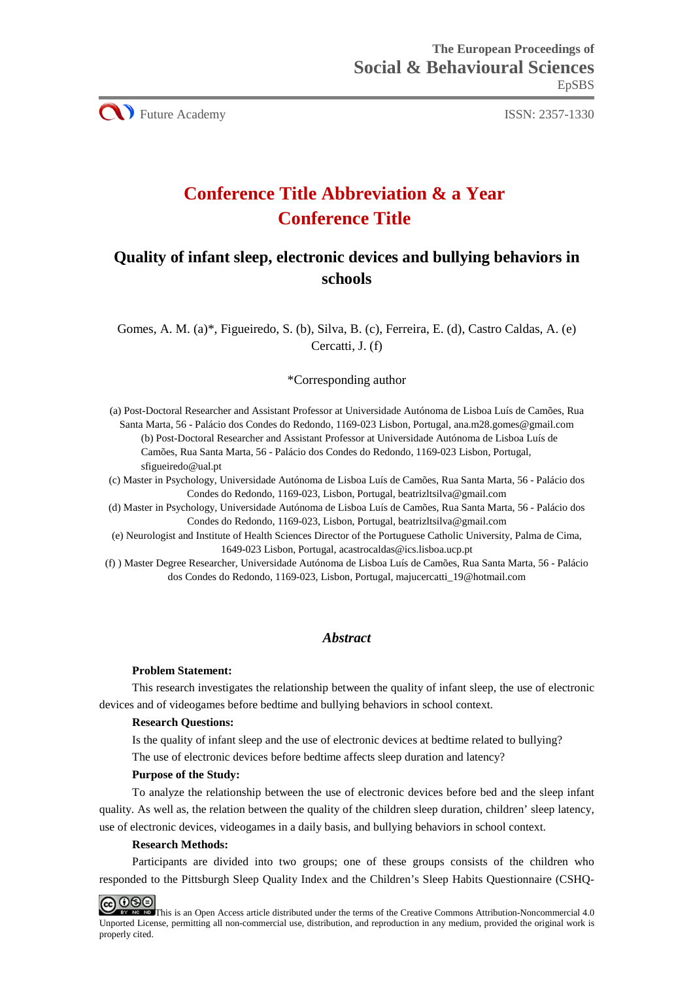CU Future Academy ISSN: 2357-1330

# **Conference Title Abbreviation & a Year Conference Title**

# **Quality of infant sleep, electronic devices and bullying behaviors in schools**

Gomes, A. M. (a)\*, Figueiredo, S. (b), Silva, B. (c), Ferreira, E. (d), Castro Caldas, A. (e) Cercatti, J. (f)

### \*Corresponding author

(a) Post-Doctoral Researcher and Assistant Professor at Universidade Autónoma de Lisboa Luís de Camões, Rua Santa Marta, 56 - Palácio dos Condes do Redondo, 1169-023 Lisbon, Portugal, ana.m28.gomes@gmail.com (b) Post-Doctoral Researcher and Assistant Professor at Universidade Autónoma de Lisboa Luís de Camões, Rua Santa Marta, 56 - Palácio dos Condes do Redondo, 1169-023 Lisbon, Portugal, sfigueiredo@ual.pt

(c) Master in Psychology, Universidade Autónoma de Lisboa Luís de Camões, Rua Santa Marta, 56 - Palácio dos Condes do Redondo, 1169-023, Lisbon, Portugal, beatrizltsilva@gmail.com

(d) Master in Psychology, Universidade Autónoma de Lisboa Luís de Camões, Rua Santa Marta, 56 - Palácio dos Condes do Redondo, 1169-023, Lisbon, Portugal, beatrizltsilva@gmail.com

(e) Neurologist and Institute of Health Sciences Director of the Portuguese Catholic University, Palma de Cima, 1649-023 Lisbon, Portugal, acastrocaldas@ics.lisboa.ucp.pt

(f) ) Master Degree Researcher, Universidade Autónoma de Lisboa Luís de Camões, Rua Santa Marta, 56 - Palácio dos Condes do Redondo, 1169-023, Lisbon, Portugal, majucercatti\_19@hotmail.com

# *Abstract*

#### **Problem Statement:**

This research investigates the relationship between the quality of infant sleep, the use of electronic devices and of videogames before bedtime and bullying behaviors in school context.

### **Research Questions:**

Is the quality of infant sleep and the use of electronic devices at bedtime related to bullying? The use of electronic devices before bedtime affects sleep duration and latency?

#### **Purpose of the Study:**

To analyze the relationship between the use of electronic devices before bed and the sleep infant quality. As well as, the relation between the quality of the children sleep duration, children' sleep latency, use of electronic devices, videogames in a daily basis, and bullying behaviors in school context.

#### **Research Methods:**

Participants are divided into two groups; one of these groups consists of the children who responded to the Pittsburgh Sleep Quality Index and the Children's Sleep Habits Questionnaire (CSHQ-

**@000** This is an Open Access article distributed under the terms of the Creative Commons Attribution-Noncommercial 4.0 Unported License, permitting all non-commercial use, distribution, and reproduction in any medium, provided the original work is properly cited.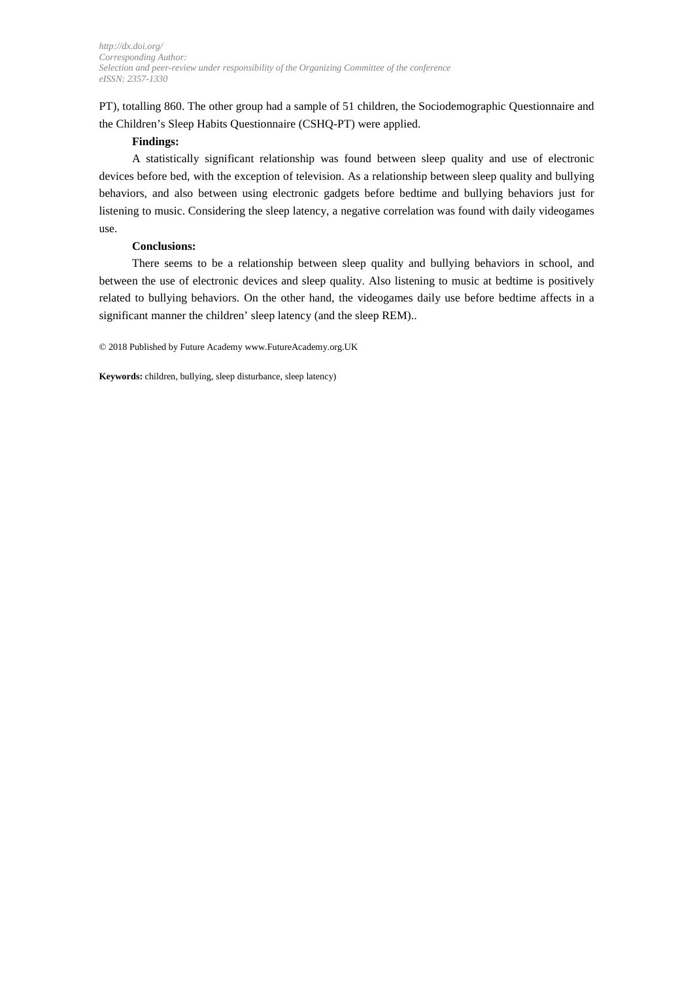PT), totalling 860. The other group had a sample of 51 children, the Sociodemographic Questionnaire and the Children's Sleep Habits Questionnaire (CSHQ-PT) were applied.

### **Findings:**

A statistically significant relationship was found between sleep quality and use of electronic devices before bed, with the exception of television. As a relationship between sleep quality and bullying behaviors, and also between using electronic gadgets before bedtime and bullying behaviors just for listening to music. Considering the sleep latency, a negative correlation was found with daily videogames use.

### **Conclusions:**

There seems to be a relationship between sleep quality and bullying behaviors in school, and between the use of electronic devices and sleep quality. Also listening to music at bedtime is positively related to bullying behaviors. On the other hand, the videogames daily use before bedtime affects in a significant manner the children' sleep latency (and the sleep REM)..

© 2018 Published by Future Academy www.FutureAcademy.org.UK

**Keywords:** children, bullying, sleep disturbance, sleep latency)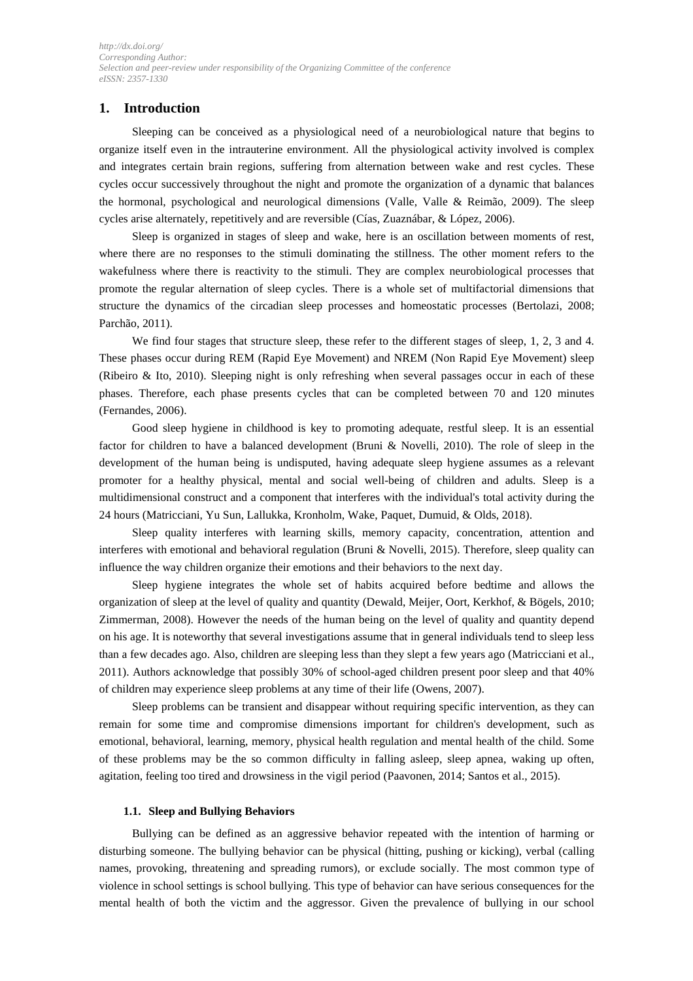# **1. Introduction**

Sleeping can be conceived as a physiological need of a neurobiological nature that begins to organize itself even in the intrauterine environment. All the physiological activity involved is complex and integrates certain brain regions, suffering from alternation between wake and rest cycles. These cycles occur successively throughout the night and promote the organization of a dynamic that balances the hormonal, psychological and neurological dimensions (Valle, Valle & Reimão, 2009). The sleep cycles arise alternately, repetitively and are reversible (Cías, Zuaznábar, & López, 2006).

Sleep is organized in stages of sleep and wake, here is an oscillation between moments of rest, where there are no responses to the stimuli dominating the stillness. The other moment refers to the wakefulness where there is reactivity to the stimuli. They are complex neurobiological processes that promote the regular alternation of sleep cycles. There is a whole set of multifactorial dimensions that structure the dynamics of the circadian sleep processes and homeostatic processes (Bertolazi, 2008; Parchão, 2011).

We find four stages that structure sleep, these refer to the different stages of sleep, 1, 2, 3 and 4. These phases occur during REM (Rapid Eye Movement) and NREM (Non Rapid Eye Movement) sleep (Ribeiro & Ito, 2010). Sleeping night is only refreshing when several passages occur in each of these phases. Therefore, each phase presents cycles that can be completed between 70 and 120 minutes (Fernandes, 2006).

Good sleep hygiene in childhood is key to promoting adequate, restful sleep. It is an essential factor for children to have a balanced development (Bruni & Novelli, 2010). The role of sleep in the development of the human being is undisputed, having adequate sleep hygiene assumes as a relevant promoter for a healthy physical, mental and social well-being of children and adults. Sleep is a multidimensional construct and a component that interferes with the individual's total activity during the 24 hours (Matricciani, Yu Sun, Lallukka, Kronholm, Wake, Paquet, Dumuid, & Olds, 2018).

Sleep quality interferes with learning skills, memory capacity, concentration, attention and interferes with emotional and behavioral regulation (Bruni & Novelli, 2015). Therefore, sleep quality can influence the way children organize their emotions and their behaviors to the next day.

Sleep hygiene integrates the whole set of habits acquired before bedtime and allows the organization of sleep at the level of quality and quantity (Dewald, Meijer, Oort, Kerkhof, & Bögels, 2010; Zimmerman, 2008). However the needs of the human being on the level of quality and quantity depend on his age. It is noteworthy that several investigations assume that in general individuals tend to sleep less than a few decades ago. Also, children are sleeping less than they slept a few years ago (Matricciani et al., 2011). Authors acknowledge that possibly 30% of school-aged children present poor sleep and that 40% of children may experience sleep problems at any time of their life (Owens, 2007).

Sleep problems can be transient and disappear without requiring specific intervention, as they can remain for some time and compromise dimensions important for children's development, such as emotional, behavioral, learning, memory, physical health regulation and mental health of the child. Some of these problems may be the so common difficulty in falling asleep, sleep apnea, waking up often, agitation, feeling too tired and drowsiness in the vigil period (Paavonen, 2014; Santos et al., 2015).

#### **1.1. Sleep and Bullying Behaviors**

Bullying can be defined as an aggressive behavior repeated with the intention of harming or disturbing someone. The bullying behavior can be physical (hitting, pushing or kicking), verbal (calling names, provoking, threatening and spreading rumors), or exclude socially. The most common type of violence in school settings is school bullying. This type of behavior can have serious consequences for the mental health of both the victim and the aggressor. Given the prevalence of bullying in our school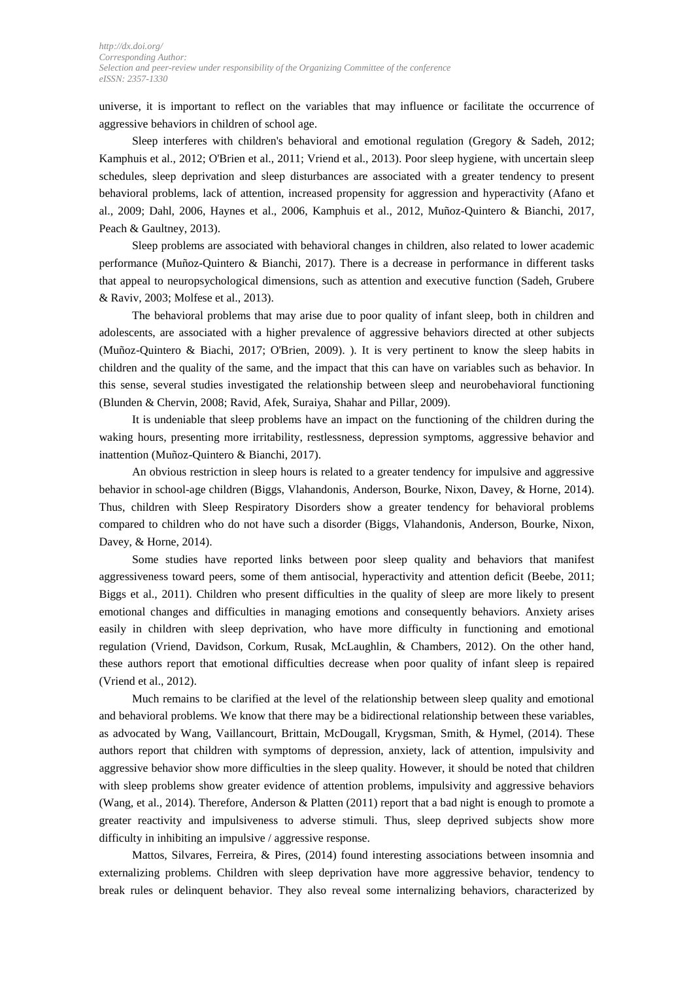universe, it is important to reflect on the variables that may influence or facilitate the occurrence of aggressive behaviors in children of school age.

Sleep interferes with children's behavioral and emotional regulation (Gregory & Sadeh, 2012; Kamphuis et al., 2012; O'Brien et al., 2011; Vriend et al., 2013). Poor sleep hygiene, with uncertain sleep schedules, sleep deprivation and sleep disturbances are associated with a greater tendency to present behavioral problems, lack of attention, increased propensity for aggression and hyperactivity (Afano et al., 2009; Dahl, 2006, Haynes et al., 2006, Kamphuis et al., 2012, Muñoz-Quintero & Bianchi, 2017, Peach & Gaultney, 2013).

Sleep problems are associated with behavioral changes in children, also related to lower academic performance (Muñoz-Quintero & Bianchi, 2017). There is a decrease in performance in different tasks that appeal to neuropsychological dimensions, such as attention and executive function (Sadeh, Grubere & Raviv, 2003; Molfese et al., 2013).

The behavioral problems that may arise due to poor quality of infant sleep, both in children and adolescents, are associated with a higher prevalence of aggressive behaviors directed at other subjects (Muñoz-Quintero & Biachi, 2017; O'Brien, 2009). ). It is very pertinent to know the sleep habits in children and the quality of the same, and the impact that this can have on variables such as behavior. In this sense, several studies investigated the relationship between sleep and neurobehavioral functioning (Blunden & Chervin, 2008; Ravid, Afek, Suraiya, Shahar and Pillar, 2009).

It is undeniable that sleep problems have an impact on the functioning of the children during the waking hours, presenting more irritability, restlessness, depression symptoms, aggressive behavior and inattention (Muñoz-Quintero & Bianchi, 2017).

An obvious restriction in sleep hours is related to a greater tendency for impulsive and aggressive behavior in school-age children (Biggs, Vlahandonis, Anderson, Bourke, Nixon, Davey, & Horne, 2014). Thus, children with Sleep Respiratory Disorders show a greater tendency for behavioral problems compared to children who do not have such a disorder (Biggs, Vlahandonis, Anderson, Bourke, Nixon, Davey, & Horne, 2014).

Some studies have reported links between poor sleep quality and behaviors that manifest aggressiveness toward peers, some of them antisocial, hyperactivity and attention deficit (Beebe, 2011; Biggs et al., 2011). Children who present difficulties in the quality of sleep are more likely to present emotional changes and difficulties in managing emotions and consequently behaviors. Anxiety arises easily in children with sleep deprivation, who have more difficulty in functioning and emotional regulation (Vriend, Davidson, Corkum, Rusak, McLaughlin, & Chambers, 2012). On the other hand, these authors report that emotional difficulties decrease when poor quality of infant sleep is repaired (Vriend et al., 2012).

Much remains to be clarified at the level of the relationship between sleep quality and emotional and behavioral problems. We know that there may be a bidirectional relationship between these variables, as advocated by Wang, Vaillancourt, Brittain, McDougall, Krygsman, Smith, & Hymel, (2014). These authors report that children with symptoms of depression, anxiety, lack of attention, impulsivity and aggressive behavior show more difficulties in the sleep quality. However, it should be noted that children with sleep problems show greater evidence of attention problems, impulsivity and aggressive behaviors (Wang, et al., 2014). Therefore, Anderson & Platten (2011) report that a bad night is enough to promote a greater reactivity and impulsiveness to adverse stimuli. Thus, sleep deprived subjects show more difficulty in inhibiting an impulsive / aggressive response.

Mattos, Silvares, Ferreira, & Pires, (2014) found interesting associations between insomnia and externalizing problems. Children with sleep deprivation have more aggressive behavior, tendency to break rules or delinquent behavior. They also reveal some internalizing behaviors, characterized by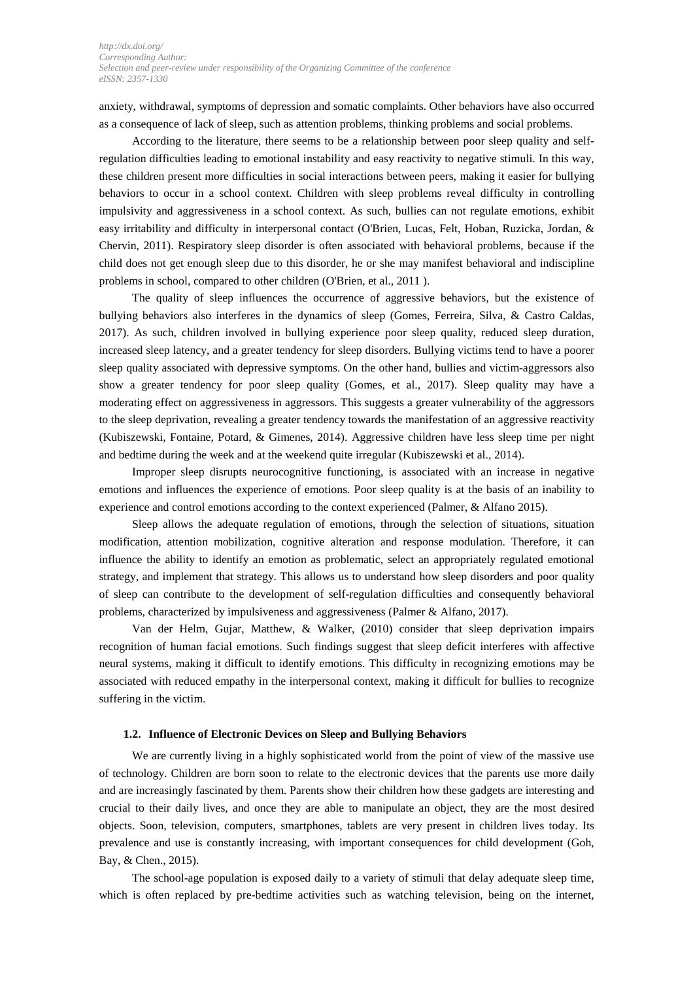anxiety, withdrawal, symptoms of depression and somatic complaints. Other behaviors have also occurred as a consequence of lack of sleep, such as attention problems, thinking problems and social problems.

According to the literature, there seems to be a relationship between poor sleep quality and selfregulation difficulties leading to emotional instability and easy reactivity to negative stimuli. In this way, these children present more difficulties in social interactions between peers, making it easier for bullying behaviors to occur in a school context. Children with sleep problems reveal difficulty in controlling impulsivity and aggressiveness in a school context. As such, bullies can not regulate emotions, exhibit easy irritability and difficulty in interpersonal contact (O'Brien, Lucas, Felt, Hoban, Ruzicka, Jordan, & Chervin, 2011). Respiratory sleep disorder is often associated with behavioral problems, because if the child does not get enough sleep due to this disorder, he or she may manifest behavioral and indiscipline problems in school, compared to other children (O'Brien, et al., 2011 ).

The quality of sleep influences the occurrence of aggressive behaviors, but the existence of bullying behaviors also interferes in the dynamics of sleep (Gomes, Ferreira, Silva, & Castro Caldas, 2017). As such, children involved in bullying experience poor sleep quality, reduced sleep duration, increased sleep latency, and a greater tendency for sleep disorders. Bullying victims tend to have a poorer sleep quality associated with depressive symptoms. On the other hand, bullies and victim-aggressors also show a greater tendency for poor sleep quality (Gomes, et al., 2017). Sleep quality may have a moderating effect on aggressiveness in aggressors. This suggests a greater vulnerability of the aggressors to the sleep deprivation, revealing a greater tendency towards the manifestation of an aggressive reactivity (Kubiszewski, Fontaine, Potard, & Gimenes, 2014). Aggressive children have less sleep time per night and bedtime during the week and at the weekend quite irregular (Kubiszewski et al., 2014).

Improper sleep disrupts neurocognitive functioning, is associated with an increase in negative emotions and influences the experience of emotions. Poor sleep quality is at the basis of an inability to experience and control emotions according to the context experienced (Palmer, & Alfano 2015).

Sleep allows the adequate regulation of emotions, through the selection of situations, situation modification, attention mobilization, cognitive alteration and response modulation. Therefore, it can influence the ability to identify an emotion as problematic, select an appropriately regulated emotional strategy, and implement that strategy. This allows us to understand how sleep disorders and poor quality of sleep can contribute to the development of self-regulation difficulties and consequently behavioral problems, characterized by impulsiveness and aggressiveness (Palmer & Alfano, 2017).

Van der Helm, Gujar, Matthew, & Walker, (2010) consider that sleep deprivation impairs recognition of human facial emotions. Such findings suggest that sleep deficit interferes with affective neural systems, making it difficult to identify emotions. This difficulty in recognizing emotions may be associated with reduced empathy in the interpersonal context, making it difficult for bullies to recognize suffering in the victim.

#### **1.2. Influence of Electronic Devices on Sleep and Bullying Behaviors**

We are currently living in a highly sophisticated world from the point of view of the massive use of technology. Children are born soon to relate to the electronic devices that the parents use more daily and are increasingly fascinated by them. Parents show their children how these gadgets are interesting and crucial to their daily lives, and once they are able to manipulate an object, they are the most desired objects. Soon, television, computers, smartphones, tablets are very present in children lives today. Its prevalence and use is constantly increasing, with important consequences for child development (Goh, Bay, & Chen., 2015).

The school-age population is exposed daily to a variety of stimuli that delay adequate sleep time, which is often replaced by pre-bedtime activities such as watching television, being on the internet,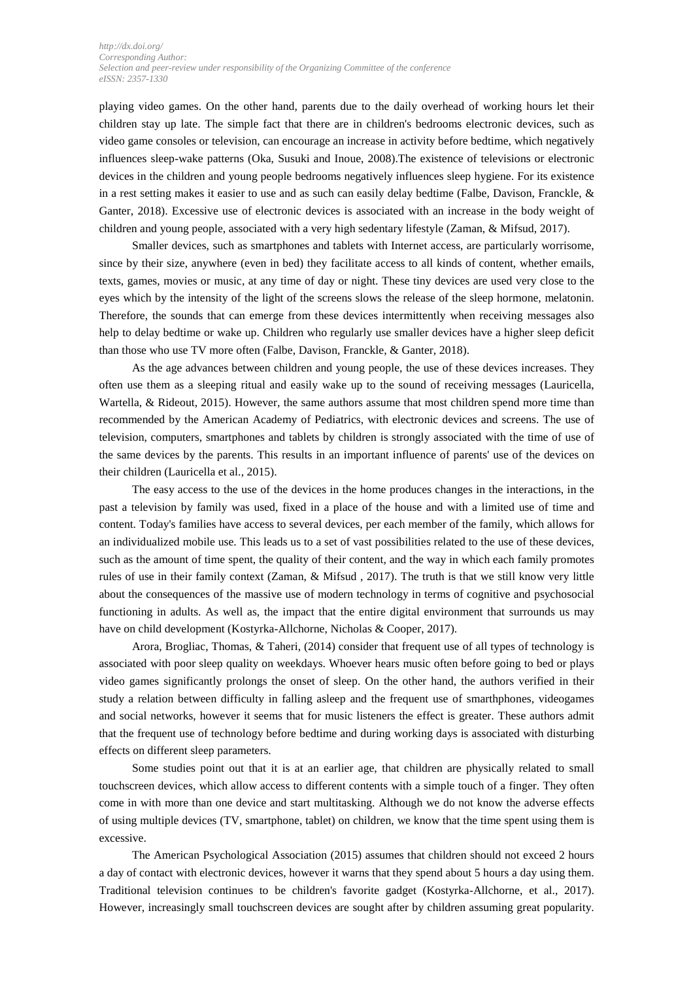playing video games. On the other hand, parents due to the daily overhead of working hours let their children stay up late. The simple fact that there are in children's bedrooms electronic devices, such as video game consoles or television, can encourage an increase in activity before bedtime, which negatively influences sleep-wake patterns (Oka, Susuki and Inoue, 2008).The existence of televisions or electronic devices in the children and young people bedrooms negatively influences sleep hygiene. For its existence in a rest setting makes it easier to use and as such can easily delay bedtime (Falbe, Davison, Franckle, & Ganter, 2018). Excessive use of electronic devices is associated with an increase in the body weight of children and young people, associated with a very high sedentary lifestyle (Zaman, & Mifsud, 2017).

Smaller devices, such as smartphones and tablets with Internet access, are particularly worrisome, since by their size, anywhere (even in bed) they facilitate access to all kinds of content, whether emails, texts, games, movies or music, at any time of day or night. These tiny devices are used very close to the eyes which by the intensity of the light of the screens slows the release of the sleep hormone, melatonin. Therefore, the sounds that can emerge from these devices intermittently when receiving messages also help to delay bedtime or wake up. Children who regularly use smaller devices have a higher sleep deficit than those who use TV more often (Falbe, Davison, Franckle, & Ganter, 2018).

As the age advances between children and young people, the use of these devices increases. They often use them as a sleeping ritual and easily wake up to the sound of receiving messages (Lauricella, Wartella, & Rideout, 2015). However, the same authors assume that most children spend more time than recommended by the American Academy of Pediatrics, with electronic devices and screens. The use of television, computers, smartphones and tablets by children is strongly associated with the time of use of the same devices by the parents. This results in an important influence of parents' use of the devices on their children (Lauricella et al., 2015).

The easy access to the use of the devices in the home produces changes in the interactions, in the past a television by family was used, fixed in a place of the house and with a limited use of time and content. Today's families have access to several devices, per each member of the family, which allows for an individualized mobile use. This leads us to a set of vast possibilities related to the use of these devices, such as the amount of time spent, the quality of their content, and the way in which each family promotes rules of use in their family context (Zaman, & Mifsud , 2017). The truth is that we still know very little about the consequences of the massive use of modern technology in terms of cognitive and psychosocial functioning in adults. As well as, the impact that the entire digital environment that surrounds us may have on child development (Kostyrka-Allchorne, Nicholas & Cooper, 2017).

Arora, Brogliac, Thomas, & Taheri, (2014) consider that frequent use of all types of technology is associated with poor sleep quality on weekdays. Whoever hears music often before going to bed or plays video games significantly prolongs the onset of sleep. On the other hand, the authors verified in their study a relation between difficulty in falling asleep and the frequent use of smarthphones, videogames and social networks, however it seems that for music listeners the effect is greater. These authors admit that the frequent use of technology before bedtime and during working days is associated with disturbing effects on different sleep parameters.

Some studies point out that it is at an earlier age, that children are physically related to small touchscreen devices, which allow access to different contents with a simple touch of a finger. They often come in with more than one device and start multitasking. Although we do not know the adverse effects of using multiple devices (TV, smartphone, tablet) on children, we know that the time spent using them is excessive.

The American Psychological Association (2015) assumes that children should not exceed 2 hours a day of contact with electronic devices, however it warns that they spend about 5 hours a day using them. Traditional television continues to be children's favorite gadget (Kostyrka-Allchorne, et al., 2017). However, increasingly small touchscreen devices are sought after by children assuming great popularity.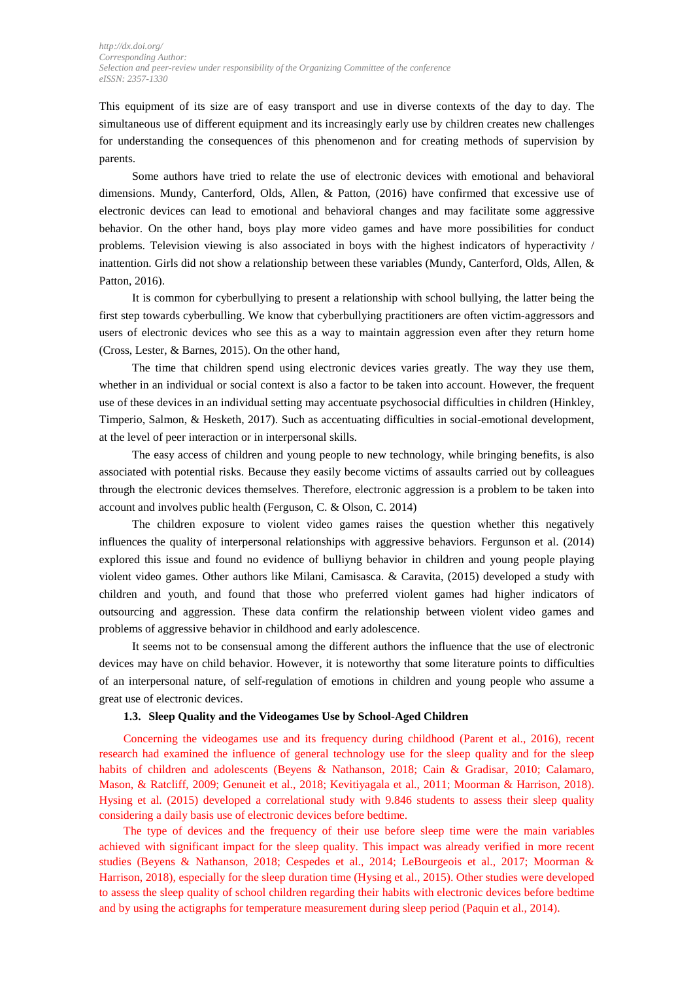This equipment of its size are of easy transport and use in diverse contexts of the day to day. The simultaneous use of different equipment and its increasingly early use by children creates new challenges for understanding the consequences of this phenomenon and for creating methods of supervision by parents.

Some authors have tried to relate the use of electronic devices with emotional and behavioral dimensions. Mundy, Canterford, Olds, Allen, & Patton, (2016) have confirmed that excessive use of electronic devices can lead to emotional and behavioral changes and may facilitate some aggressive behavior. On the other hand, boys play more video games and have more possibilities for conduct problems. Television viewing is also associated in boys with the highest indicators of hyperactivity / inattention. Girls did not show a relationship between these variables (Mundy, Canterford, Olds, Allen, & Patton, 2016).

It is common for cyberbullying to present a relationship with school bullying, the latter being the first step towards cyberbulling. We know that cyberbullying practitioners are often victim-aggressors and users of electronic devices who see this as a way to maintain aggression even after they return home (Cross, Lester, & Barnes, 2015). On the other hand,

The time that children spend using electronic devices varies greatly. The way they use them, whether in an individual or social context is also a factor to be taken into account. However, the frequent use of these devices in an individual setting may accentuate psychosocial difficulties in children (Hinkley, Timperio, Salmon, & Hesketh, 2017). Such as accentuating difficulties in social-emotional development, at the level of peer interaction or in interpersonal skills.

The easy access of children and young people to new technology, while bringing benefits, is also associated with potential risks. Because they easily become victims of assaults carried out by colleagues through the electronic devices themselves. Therefore, electronic aggression is a problem to be taken into account and involves public health (Ferguson, C. & Olson, C. 2014)

The children exposure to violent video games raises the question whether this negatively influences the quality of interpersonal relationships with aggressive behaviors. Fergunson et al. (2014) explored this issue and found no evidence of bulliyng behavior in children and young people playing violent video games. Other authors like Milani, Camisasca. & Caravita, (2015) developed a study with children and youth, and found that those who preferred violent games had higher indicators of outsourcing and aggression. These data confirm the relationship between violent video games and problems of aggressive behavior in childhood and early adolescence.

It seems not to be consensual among the different authors the influence that the use of electronic devices may have on child behavior. However, it is noteworthy that some literature points to difficulties of an interpersonal nature, of self-regulation of emotions in children and young people who assume a great use of electronic devices.

### **1.3. Sleep Quality and the Videogames Use by School-Aged Children**

Concerning the videogames use and its frequency during childhood (Parent et al., 2016), recent research had examined the influence of general technology use for the sleep quality and for the sleep habits of children and adolescents (Beyens & Nathanson, 2018; Cain & Gradisar, 2010; Calamaro, Mason, & Ratcliff, 2009; Genuneit et al., 2018; Kevitiyagala et al., 2011; Moorman & Harrison, 2018). Hysing et al. (2015) developed a correlational study with 9.846 students to assess their sleep quality considering a daily basis use of electronic devices before bedtime.

The type of devices and the frequency of their use before sleep time were the main variables achieved with significant impact for the sleep quality. This impact was already verified in more recent studies (Beyens & Nathanson, 2018; Cespedes et al., 2014; LeBourgeois et al., 2017; Moorman & Harrison, 2018), especially for the sleep duration time (Hysing et al., 2015). Other studies were developed to assess the sleep quality of school children regarding their habits with electronic devices before bedtime and by using the actigraphs for temperature measurement during sleep period (Paquin et al., 2014).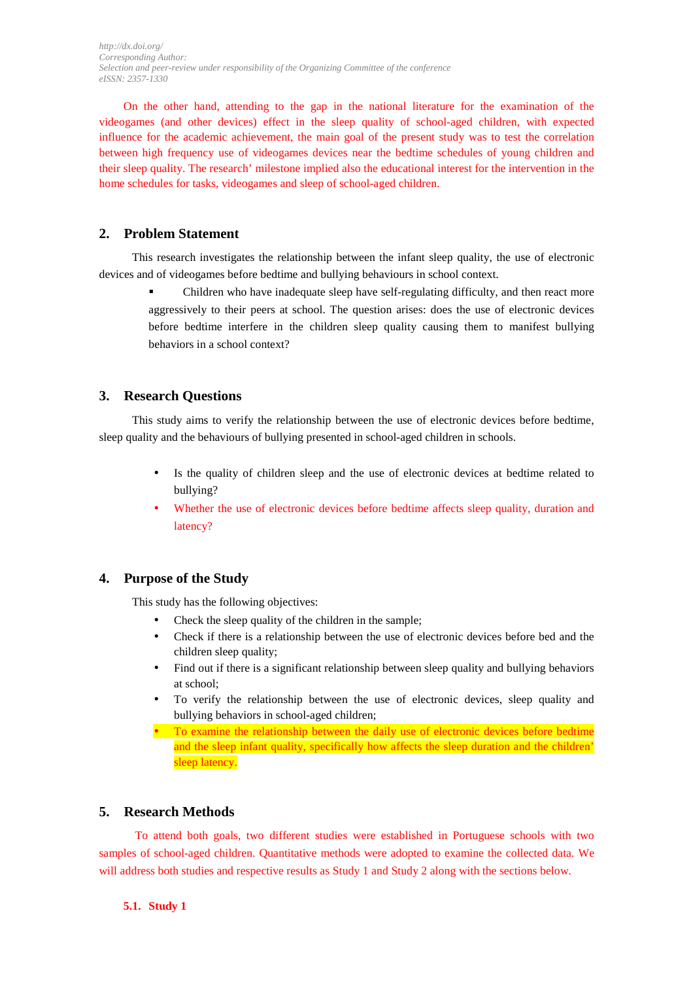On the other hand, attending to the gap in the national literature for the examination of the videogames (and other devices) effect in the sleep quality of school-aged children, with expected influence for the academic achievement, the main goal of the present study was to test the correlation between high frequency use of videogames devices near the bedtime schedules of young children and their sleep quality. The research' milestone implied also the educational interest for the intervention in the home schedules for tasks, videogames and sleep of school-aged children.

# **2. Problem Statement**

This research investigates the relationship between the infant sleep quality, the use of electronic devices and of videogames before bedtime and bullying behaviours in school context.

 Children who have inadequate sleep have self-regulating difficulty, and then react more aggressively to their peers at school. The question arises: does the use of electronic devices before bedtime interfere in the children sleep quality causing them to manifest bullying behaviors in a school context?

# **3. Research Questions**

This study aims to verify the relationship between the use of electronic devices before bedtime, sleep quality and the behaviours of bullying presented in school-aged children in schools.

- Is the quality of children sleep and the use of electronic devices at bedtime related to bullying?
- Whether the use of electronic devices before bedtime affects sleep quality, duration and latency?

# **4. Purpose of the Study**

This study has the following objectives:

- Check the sleep quality of the children in the sample:
- Check if there is a relationship between the use of electronic devices before bed and the children sleep quality;
- Find out if there is a significant relationship between sleep quality and bullying behaviors at school;
- To verify the relationship between the use of electronic devices, sleep quality and bullying behaviors in school-aged children;
- To examine the relationship between the daily use of electronic devices before bedtime and the sleep infant quality, specifically how affects the sleep duration and the children' sleep latency.

# **5. Research Methods**

To attend both goals, two different studies were established in Portuguese schools with two samples of school-aged children. Quantitative methods were adopted to examine the collected data. We will address both studies and respective results as Study 1 and Study 2 along with the sections below.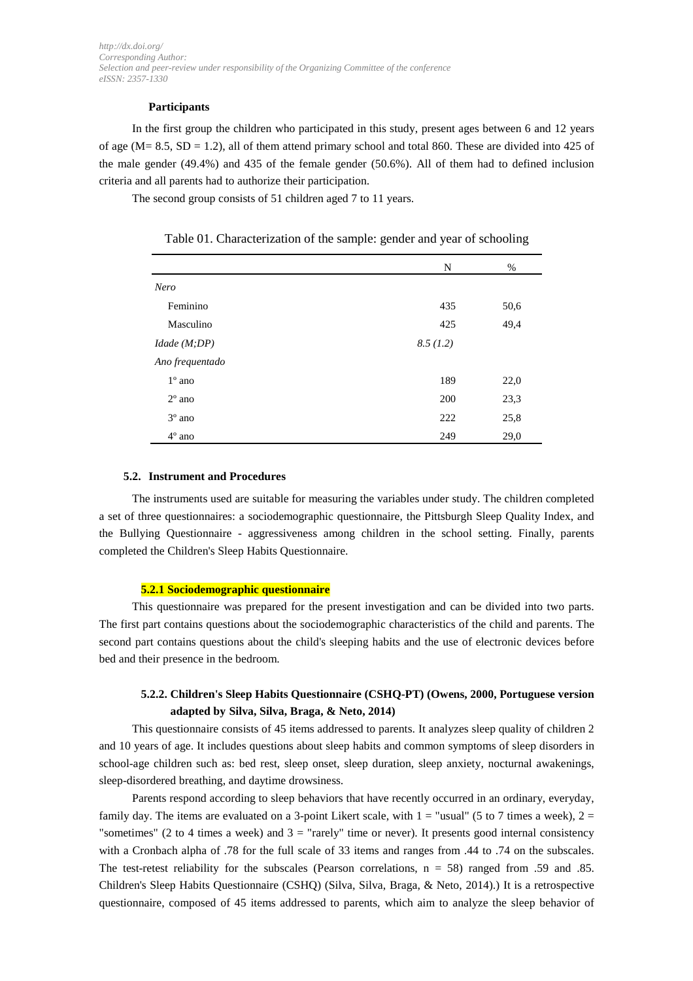### **Participants**

In the first group the children who participated in this study, present ages between 6 and 12 years of age ( $M = 8.5$ ,  $SD = 1.2$ ), all of them attend primary school and total 860. These are divided into 425 of the male gender (49.4%) and 435 of the female gender (50.6%). All of them had to defined inclusion criteria and all parents had to authorize their participation.

The second group consists of 51 children aged 7 to 11 years.

|                 | N        | %    |
|-----------------|----------|------|
| Nero            |          |      |
| Feminino        | 435      | 50,6 |
| Masculino       | 425      | 49,4 |
| I dade(M;DP)    | 8.5(1.2) |      |
| Ano frequentado |          |      |
| $1^\circ$ ano   | 189      | 22,0 |
| $2^{\circ}$ ano | 200      | 23,3 |
| $3^\circ$ ano   | 222      | 25,8 |
| $4^\circ$ ano   | 249      | 29,0 |

## Table 01. Characterization of the sample: gender and year of schooling

#### **5.2. Instrument and Procedures**

The instruments used are suitable for measuring the variables under study. The children completed a set of three questionnaires: a sociodemographic questionnaire, the Pittsburgh Sleep Quality Index, and the Bullying Questionnaire - aggressiveness among children in the school setting. Finally, parents completed the Children's Sleep Habits Questionnaire.

#### **5.2.1 Sociodemographic questionnaire**

This questionnaire was prepared for the present investigation and can be divided into two parts. The first part contains questions about the sociodemographic characteristics of the child and parents. The second part contains questions about the child's sleeping habits and the use of electronic devices before bed and their presence in the bedroom.

# **5.2.2. Children's Sleep Habits Questionnaire (CSHQ-PT) (Owens, 2000, Portuguese version adapted by Silva, Silva, Braga, & Neto, 2014)**

This questionnaire consists of 45 items addressed to parents. It analyzes sleep quality of children 2 and 10 years of age. It includes questions about sleep habits and common symptoms of sleep disorders in school-age children such as: bed rest, sleep onset, sleep duration, sleep anxiety, nocturnal awakenings, sleep-disordered breathing, and daytime drowsiness.

Parents respond according to sleep behaviors that have recently occurred in an ordinary, everyday, family day. The items are evaluated on a 3-point Likert scale, with  $1 =$  "usual" (5 to 7 times a week),  $2 =$ "sometimes" (2 to 4 times a week) and  $3 =$  "rarely" time or never). It presents good internal consistency with a Cronbach alpha of .78 for the full scale of 33 items and ranges from .44 to .74 on the subscales. The test-retest reliability for the subscales (Pearson correlations,  $n = 58$ ) ranged from .59 and .85. Children's Sleep Habits Questionnaire (CSHQ) (Silva, Silva, Braga, & Neto, 2014).) It is a retrospective questionnaire, composed of 45 items addressed to parents, which aim to analyze the sleep behavior of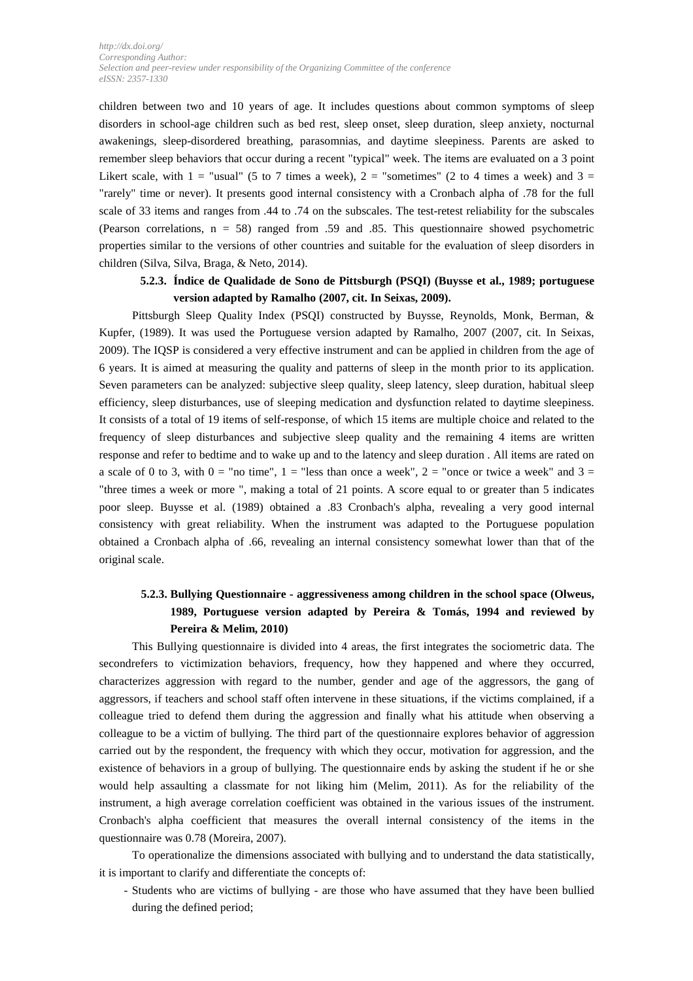children between two and 10 years of age. It includes questions about common symptoms of sleep disorders in school-age children such as bed rest, sleep onset, sleep duration, sleep anxiety, nocturnal awakenings, sleep-disordered breathing, parasomnias, and daytime sleepiness. Parents are asked to remember sleep behaviors that occur during a recent "typical" week. The items are evaluated on a 3 point Likert scale, with  $1 =$  "usual" (5 to 7 times a week),  $2 =$  "sometimes" (2 to 4 times a week) and  $3 =$ "rarely" time or never). It presents good internal consistency with a Cronbach alpha of .78 for the full scale of 33 items and ranges from .44 to .74 on the subscales. The test-retest reliability for the subscales (Pearson correlations,  $n = 58$ ) ranged from .59 and .85. This questionnaire showed psychometric properties similar to the versions of other countries and suitable for the evaluation of sleep disorders in children (Silva, Silva, Braga, & Neto, 2014).

# **5.2.3. Índice de Qualidade de Sono de Pittsburgh (PSQI) (Buysse et al., 1989; portuguese version adapted by Ramalho (2007, cit. In Seixas, 2009).**

Pittsburgh Sleep Quality Index (PSQI) constructed by Buysse, Reynolds, Monk, Berman, & Kupfer, (1989). It was used the Portuguese version adapted by Ramalho, 2007 (2007, cit. In Seixas, 2009). The IQSP is considered a very effective instrument and can be applied in children from the age of 6 years. It is aimed at measuring the quality and patterns of sleep in the month prior to its application. Seven parameters can be analyzed: subjective sleep quality, sleep latency, sleep duration, habitual sleep efficiency, sleep disturbances, use of sleeping medication and dysfunction related to daytime sleepiness. It consists of a total of 19 items of self-response, of which 15 items are multiple choice and related to the frequency of sleep disturbances and subjective sleep quality and the remaining 4 items are written response and refer to bedtime and to wake up and to the latency and sleep duration . All items are rated on a scale of 0 to 3, with  $0 =$  "no time",  $1 =$  "less than once a week",  $2 =$  "once or twice a week" and  $3 =$ "three times a week or more ", making a total of 21 points. A score equal to or greater than 5 indicates poor sleep. Buysse et al. (1989) obtained a .83 Cronbach's alpha, revealing a very good internal consistency with great reliability. When the instrument was adapted to the Portuguese population obtained a Cronbach alpha of .66, revealing an internal consistency somewhat lower than that of the original scale.

# **5.2.3. Bullying Questionnaire - aggressiveness among children in the school space (Olweus, 1989, Portuguese version adapted by Pereira & Tomás, 1994 and reviewed by Pereira & Melim, 2010)**

This Bullying questionnaire is divided into 4 areas, the first integrates the sociometric data. The secondrefers to victimization behaviors, frequency, how they happened and where they occurred, characterizes aggression with regard to the number, gender and age of the aggressors, the gang of aggressors, if teachers and school staff often intervene in these situations, if the victims complained, if a colleague tried to defend them during the aggression and finally what his attitude when observing a colleague to be a victim of bullying. The third part of the questionnaire explores behavior of aggression carried out by the respondent, the frequency with which they occur, motivation for aggression, and the existence of behaviors in a group of bullying. The questionnaire ends by asking the student if he or she would help assaulting a classmate for not liking him (Melim, 2011). As for the reliability of the instrument, a high average correlation coefficient was obtained in the various issues of the instrument. Cronbach's alpha coefficient that measures the overall internal consistency of the items in the questionnaire was 0.78 (Moreira, 2007).

To operationalize the dimensions associated with bullying and to understand the data statistically, it is important to clarify and differentiate the concepts of:

- Students who are victims of bullying - are those who have assumed that they have been bullied during the defined period;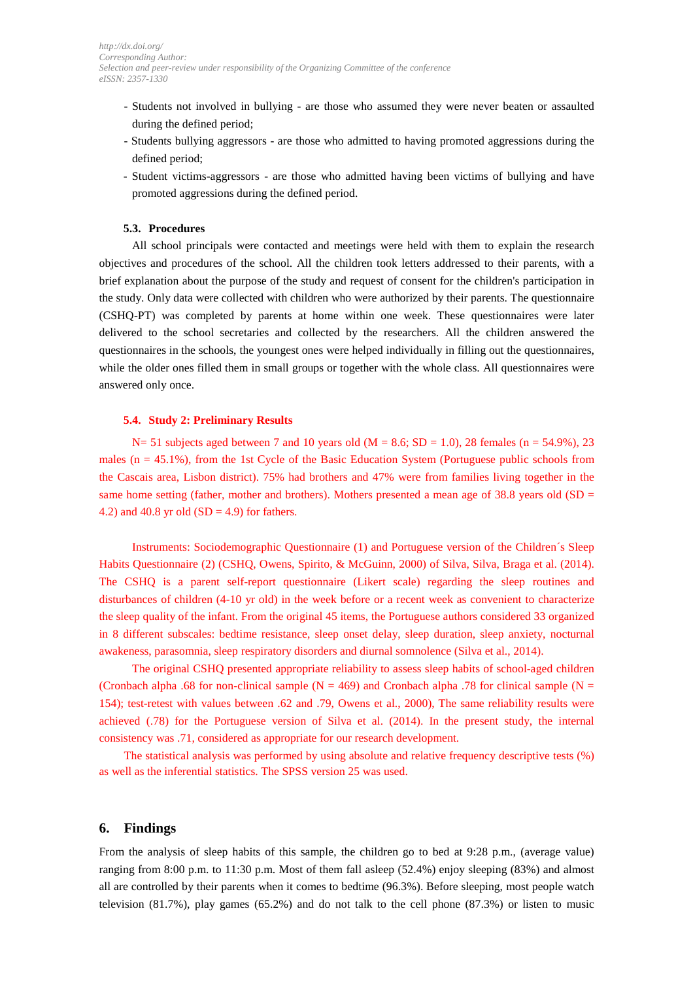- Students not involved in bullying are those who assumed they were never beaten or assaulted during the defined period;
- Students bullying aggressors are those who admitted to having promoted aggressions during the defined period;
- Student victims-aggressors are those who admitted having been victims of bullying and have promoted aggressions during the defined period.

#### **5.3. Procedures**

All school principals were contacted and meetings were held with them to explain the research objectives and procedures of the school. All the children took letters addressed to their parents, with a brief explanation about the purpose of the study and request of consent for the children's participation in the study. Only data were collected with children who were authorized by their parents. The questionnaire (CSHQ-PT) was completed by parents at home within one week. These questionnaires were later delivered to the school secretaries and collected by the researchers. All the children answered the questionnaires in the schools, the youngest ones were helped individually in filling out the questionnaires, while the older ones filled them in small groups or together with the whole class. All questionnaires were answered only once.

#### **5.4. Study 2: Preliminary Results**

N= 51 subjects aged between 7 and 10 years old ( $M = 8.6$ ; SD = 1.0), 28 females (n = 54.9%), 23 males  $(n = 45.1\%)$ , from the 1st Cycle of the Basic Education System (Portuguese public schools from the Cascais area, Lisbon district). 75% had brothers and 47% were from families living together in the same home setting (father, mother and brothers). Mothers presented a mean age of 38.8 years old (SD  $=$ 4.2) and 40.8 yr old  $(SD = 4.9)$  for fathers.

Instruments: Sociodemographic Questionnaire (1) and Portuguese version of the Children´s Sleep Habits Questionnaire (2) (CSHQ, Owens, Spirito, & McGuinn, 2000) of Silva, Silva, Braga et al. (2014). The CSHQ is a parent self-report questionnaire (Likert scale) regarding the sleep routines and disturbances of children (4-10 yr old) in the week before or a recent week as convenient to characterize the sleep quality of the infant. From the original 45 items, the Portuguese authors considered 33 organized in 8 different subscales: bedtime resistance, sleep onset delay, sleep duration, sleep anxiety, nocturnal awakeness, parasomnia, sleep respiratory disorders and diurnal somnolence (Silva et al., 2014).

The original CSHQ presented appropriate reliability to assess sleep habits of school-aged children (Cronbach alpha .68 for non-clinical sample  $(N = 469)$  and Cronbach alpha .78 for clinical sample  $(N = 469)$ 154); test-retest with values between .62 and .79, Owens et al., 2000), The same reliability results were achieved (.78) for the Portuguese version of Silva et al. (2014). In the present study, the internal consistency was .71, considered as appropriate for our research development.

The statistical analysis was performed by using absolute and relative frequency descriptive tests (%) as well as the inferential statistics. The SPSS version 25 was used.

### **6. Findings**

From the analysis of sleep habits of this sample, the children go to bed at 9:28 p.m., (average value) ranging from 8:00 p.m. to 11:30 p.m. Most of them fall asleep (52.4%) enjoy sleeping (83%) and almost all are controlled by their parents when it comes to bedtime (96.3%). Before sleeping, most people watch television (81.7%), play games (65.2%) and do not talk to the cell phone (87.3%) or listen to music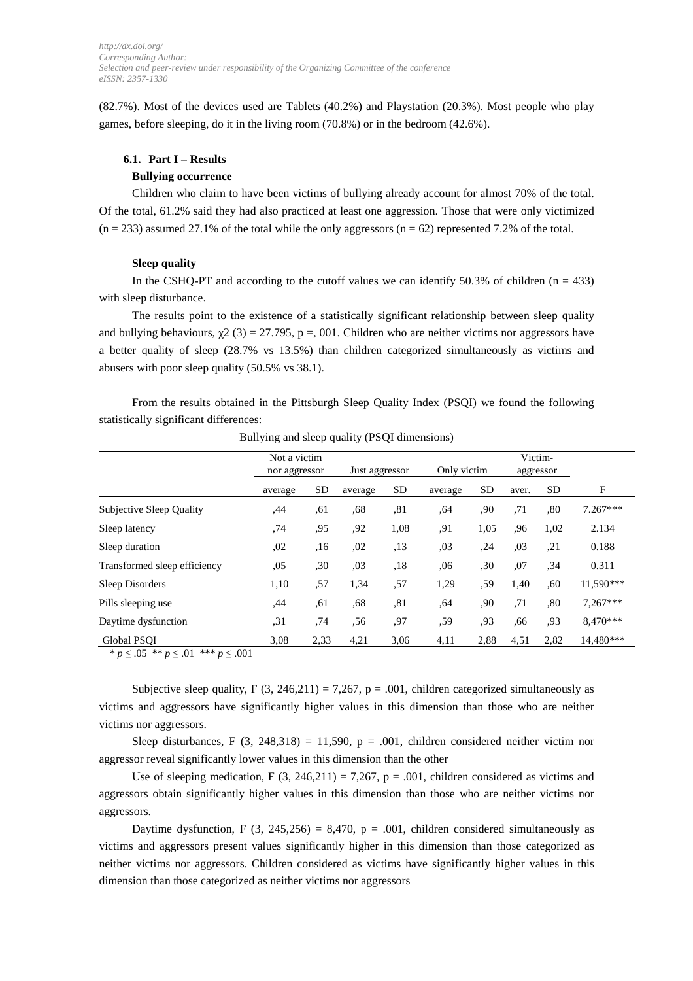(82.7%). Most of the devices used are Tablets (40.2%) and Playstation (20.3%). Most people who play games, before sleeping, do it in the living room (70.8%) or in the bedroom (42.6%).

#### **6.1. Part I – Results**

### **Bullying occurrence**

Children who claim to have been victims of bullying already account for almost 70% of the total. Of the total, 61.2% said they had also practiced at least one aggression. Those that were only victimized  $(n = 233)$  assumed 27.1% of the total while the only aggressors  $(n = 62)$  represented 7.2% of the total.

#### **Sleep quality**

In the CSHQ-PT and according to the cutoff values we can identify 50.3% of children ( $n = 433$ ) with sleep disturbance.

The results point to the existence of a statistically significant relationship between sleep quality and bullying behaviours,  $\chi^2$  (3) = 27.795, p =, 001. Children who are neither victims nor aggressors have a better quality of sleep (28.7% vs 13.5%) than children categorized simultaneously as victims and abusers with poor sleep quality (50.5% vs 38.1).

From the results obtained in the Pittsburgh Sleep Quality Index (PSQI) we found the following statistically significant differences:

|                                 | Not a victim<br>nor aggressor |           | Just aggressor |      | Only victim |           | Victim-<br>aggressor |           |            |
|---------------------------------|-------------------------------|-----------|----------------|------|-------------|-----------|----------------------|-----------|------------|
|                                 | average                       | <b>SD</b> | average        | SD   | average     | <b>SD</b> | aver.                | <b>SD</b> | F          |
| <b>Subjective Sleep Quality</b> | .44                           | ,61       | ,68            | ,81  | .64         | .90       | ,71                  | .80       | $7.267***$ |
| Sleep latency                   | ,74                           | ,95       | ,92            | 1,08 | ,91         | 1,05      | ,96                  | 1,02      | 2.134      |
| Sleep duration                  | ,02                           | ,16       | ,02            | , 13 | ,03         | ,24       | ,03                  | , 21      | 0.188      |
| Transformed sleep efficiency    | ,05                           | ,30       | ,03            | ,18  | .06         | ,30       | ,07                  | ,34       | 0.311      |
| Sleep Disorders                 | 1,10                          | ,57       | 1,34           | ,57  | 1,29        | ,59       | 1,40                 | .60       | 11,590***  |
| Pills sleeping use              | ,44                           | ,61       | .68            | ,81  | ,64         | ,90       | ,71                  | ,80       | $7,267***$ |
| Daytime dysfunction             | , 31                          | .74       | .56            | .97  | .59         | .93       | .66                  | .93       | 8.470***   |
| Global PSOI                     | 3,08                          | 2,33      | 4,21           | 3,06 | 4,11        | 2,88      | 4,51                 | 2,82      | 14.480***  |

Bullying and sleep quality (PSQI dimensions)

\* *p* ≤ .05 \*\* *p* ≤ .01 \*\*\* *p* ≤ .001

Subjective sleep quality, F  $(3, 246, 211) = 7,267$ , p = .001, children categorized simultaneously as victims and aggressors have significantly higher values in this dimension than those who are neither victims nor aggressors.

Sleep disturbances, F (3, 248,318) = 11,590,  $p = .001$ , children considered neither victim nor aggressor reveal significantly lower values in this dimension than the other

Use of sleeping medication, F  $(3, 246,211) = 7,267$ , p = .001, children considered as victims and aggressors obtain significantly higher values in this dimension than those who are neither victims nor aggressors.

Daytime dysfunction, F (3, 245,256) = 8,470, p = .001, children considered simultaneously as victims and aggressors present values significantly higher in this dimension than those categorized as neither victims nor aggressors. Children considered as victims have significantly higher values in this dimension than those categorized as neither victims nor aggressors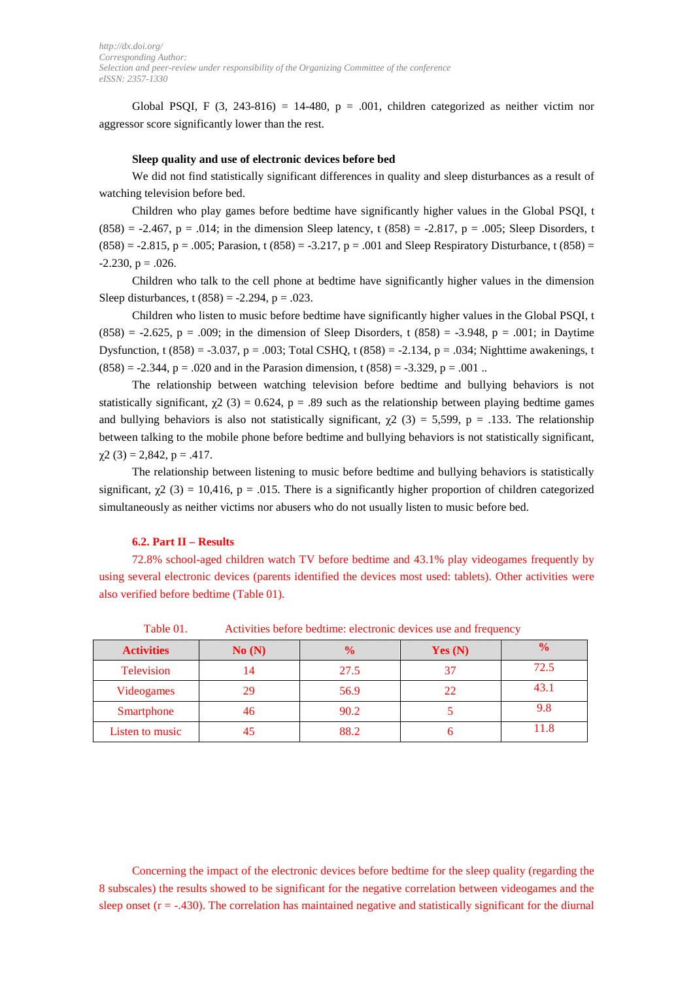Global PSQI, F  $(3, 243-816) = 14-480$ , p = .001, children categorized as neither victim nor aggressor score significantly lower than the rest.

#### **Sleep quality and use of electronic devices before bed**

We did not find statistically significant differences in quality and sleep disturbances as a result of watching television before bed.

Children who play games before bedtime have significantly higher values in the Global PSQI, t  $(858) = -2.467$ , p = .014; in the dimension Sleep latency, t  $(858) = -2.817$ , p = .005; Sleep Disorders, t  $(858) = -2.815$ , p = .005; Parasion, t  $(858) = -3.217$ , p = .001 and Sleep Respiratory Disturbance, t  $(858) =$  $-2.230$ ,  $p = .026$ .

Children who talk to the cell phone at bedtime have significantly higher values in the dimension Sleep disturbances, t  $(858) = -2.294$ , p = .023.

Children who listen to music before bedtime have significantly higher values in the Global PSQI, t  $(858) = -2.625$ , p = .009; in the dimension of Sleep Disorders, t  $(858) = -3.948$ , p = .001; in Daytime Dysfunction, t  $(858) = -3.037$ , p = .003; Total CSHQ, t  $(858) = -2.134$ , p = .034; Nighttime awakenings, t  $(858) = -2.344$ ,  $p = .020$  and in the Parasion dimension, t  $(858) = -3.329$ ,  $p = .001$ ..

The relationship between watching television before bedtime and bullying behaviors is not statistically significant,  $\gamma$ 2 (3) = 0.624, p = .89 such as the relationship between playing bedtime games and bullying behaviors is also not statistically significant,  $\chi^2$  (3) = 5,599, p = .133. The relationship between talking to the mobile phone before bedtime and bullying behaviors is not statistically significant,  $\chi$ 2 (3) = 2,842, p = .417.

The relationship between listening to music before bedtime and bullying behaviors is statistically significant,  $\chi^2$  (3) = 10,416, p = .015. There is a significantly higher proportion of children categorized simultaneously as neither victims nor abusers who do not usually listen to music before bed.

#### **6.2. Part II – Results**

72.8% school-aged children watch TV before bedtime and 43.1% play videogames frequently by using several electronic devices (parents identified the devices most used: tablets). Other activities were also verified before bedtime (Table 01).

| <b>Activities</b> | No(N) | $\frac{0}{0}$ | Yes $(N)$ | $\frac{0}{0}$ |
|-------------------|-------|---------------|-----------|---------------|
| <b>Television</b> |       | 27.5          |           | 72.5          |
| Videogames        | Οq    | 56.9          | 22        | 43.1          |
| Smartphone        | 46    | 90.2          |           | 9.8           |
| Listen to music   |       | 88.2          |           | 11.8          |

Table 01. Activities before bedtime: electronic devices use and frequency

Concerning the impact of the electronic devices before bedtime for the sleep quality (regarding the 8 subscales) the results showed to be significant for the negative correlation between videogames and the sleep onset  $(r = -0.430)$ . The correlation has maintained negative and statistically significant for the diurnal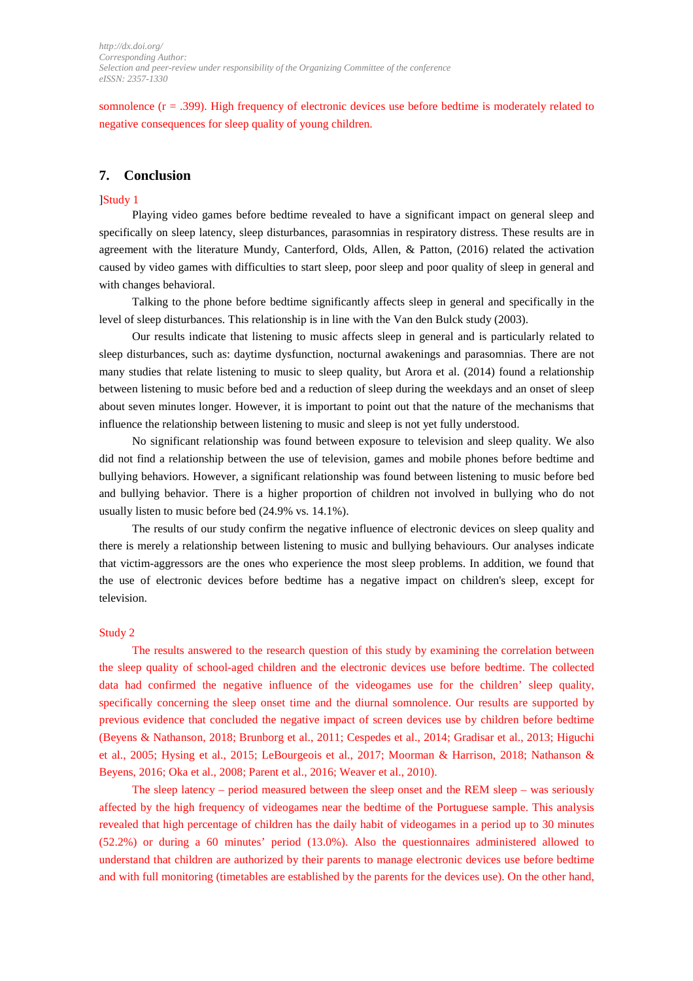somnolence (r = .399). High frequency of electronic devices use before bedtime is moderately related to negative consequences for sleep quality of young children.

### **7. Conclusion**

### ]Study 1

Playing video games before bedtime revealed to have a significant impact on general sleep and specifically on sleep latency, sleep disturbances, parasomnias in respiratory distress. These results are in agreement with the literature Mundy, Canterford, Olds, Allen, & Patton, (2016) related the activation caused by video games with difficulties to start sleep, poor sleep and poor quality of sleep in general and with changes behavioral.

Talking to the phone before bedtime significantly affects sleep in general and specifically in the level of sleep disturbances. This relationship is in line with the Van den Bulck study (2003).

Our results indicate that listening to music affects sleep in general and is particularly related to sleep disturbances, such as: daytime dysfunction, nocturnal awakenings and parasomnias. There are not many studies that relate listening to music to sleep quality, but Arora et al. (2014) found a relationship between listening to music before bed and a reduction of sleep during the weekdays and an onset of sleep about seven minutes longer. However, it is important to point out that the nature of the mechanisms that influence the relationship between listening to music and sleep is not yet fully understood.

No significant relationship was found between exposure to television and sleep quality. We also did not find a relationship between the use of television, games and mobile phones before bedtime and bullying behaviors. However, a significant relationship was found between listening to music before bed and bullying behavior. There is a higher proportion of children not involved in bullying who do not usually listen to music before bed (24.9% vs. 14.1%).

The results of our study confirm the negative influence of electronic devices on sleep quality and there is merely a relationship between listening to music and bullying behaviours. Our analyses indicate that victim-aggressors are the ones who experience the most sleep problems. In addition, we found that the use of electronic devices before bedtime has a negative impact on children's sleep, except for television.

### Study 2

The results answered to the research question of this study by examining the correlation between the sleep quality of school-aged children and the electronic devices use before bedtime. The collected data had confirmed the negative influence of the videogames use for the children' sleep quality, specifically concerning the sleep onset time and the diurnal somnolence. Our results are supported by previous evidence that concluded the negative impact of screen devices use by children before bedtime (Beyens & Nathanson, 2018; Brunborg et al., 2011; Cespedes et al., 2014; Gradisar et al., 2013; Higuchi et al., 2005; Hysing et al., 2015; LeBourgeois et al., 2017; Moorman & Harrison, 2018; Nathanson & Beyens, 2016; Oka et al., 2008; Parent et al., 2016; Weaver et al., 2010).

The sleep latency – period measured between the sleep onset and the REM sleep – was seriously affected by the high frequency of videogames near the bedtime of the Portuguese sample. This analysis revealed that high percentage of children has the daily habit of videogames in a period up to 30 minutes (52.2%) or during a 60 minutes' period (13.0%). Also the questionnaires administered allowed to understand that children are authorized by their parents to manage electronic devices use before bedtime and with full monitoring (timetables are established by the parents for the devices use). On the other hand,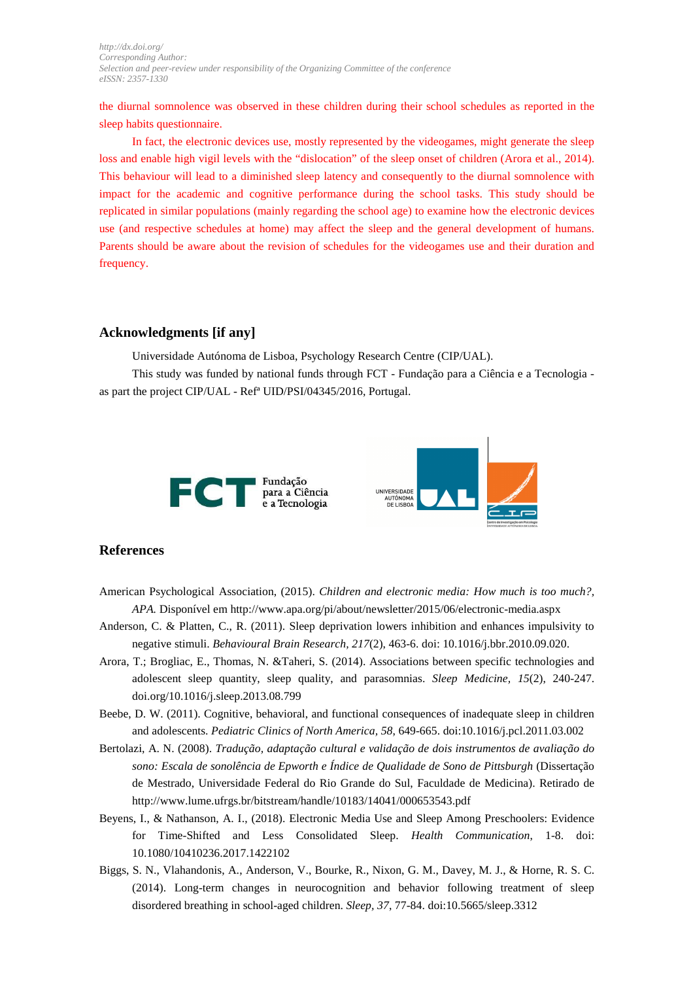the diurnal somnolence was observed in these children during their school schedules as reported in the sleep habits questionnaire.

In fact, the electronic devices use, mostly represented by the videogames, might generate the sleep loss and enable high vigil levels with the "dislocation" of the sleep onset of children (Arora et al., 2014). This behaviour will lead to a diminished sleep latency and consequently to the diurnal somnolence with impact for the academic and cognitive performance during the school tasks. This study should be replicated in similar populations (mainly regarding the school age) to examine how the electronic devices use (and respective schedules at home) may affect the sleep and the general development of humans. Parents should be aware about the revision of schedules for the videogames use and their duration and frequency.

### **Acknowledgments [if any]**

Universidade Autónoma de Lisboa, Psychology Research Centre (CIP/UAL).

This study was funded by national funds through FCT - Fundação para a Ciência e a Tecnologia as part the project CIP/UAL - Refª UID/PSI/04345/2016, Portugal.



# **References**

- American Psychological Association, (2015). *Children and electronic media: How much is too much?, APA.* Disponível em http://www.apa.org/pi/about/newsletter/2015/06/electronic-media.aspx
- Anderson, C. & Platten, C., R. (2011). Sleep deprivation lowers inhibition and enhances impulsivity to negative stimuli. *Behavioural Brain Research, 217*(2), 463-6. doi: 10.1016/j.bbr.2010.09.020.
- Arora, T.; Brogliac, E., Thomas, N. &Taheri, S. (2014). Associations between specific technologies and adolescent sleep quantity, sleep quality, and parasomnias. *Sleep Medicine, 15*(2), 240-247. doi.org/10.1016/j.sleep.2013.08.799
- Beebe, D. W. (2011). Cognitive, behavioral, and functional consequences of inadequate sleep in children and adolescents. *Pediatric Clinics of North America, 58*, 649-665. doi:10.1016/j.pcl.2011.03.002
- Bertolazi, A. N. (2008). *Tradução, adaptação cultural e validação de dois instrumentos de avaliação do sono: Escala de sonolência de Epworth e Índice de Qualidade de Sono de Pittsburgh* (Dissertação de Mestrado, Universidade Federal do Rio Grande do Sul, Faculdade de Medicina). Retirado de http://www.lume.ufrgs.br/bitstream/handle/10183/14041/000653543.pdf
- Beyens, I., & Nathanson, A. I., (2018). Electronic Media Use and Sleep Among Preschoolers: Evidence for Time-Shifted and Less Consolidated Sleep. *Health Communication*, 1-8. doi: 10.1080/10410236.2017.1422102
- Biggs, S. N., Vlahandonis, A., Anderson, V., Bourke, R., Nixon, G. M., Davey, M. J., & Horne, R. S. C. (2014). Long-term changes in neurocognition and behavior following treatment of sleep disordered breathing in school-aged children. *Sleep, 37*, 77-84. doi:10.5665/sleep.3312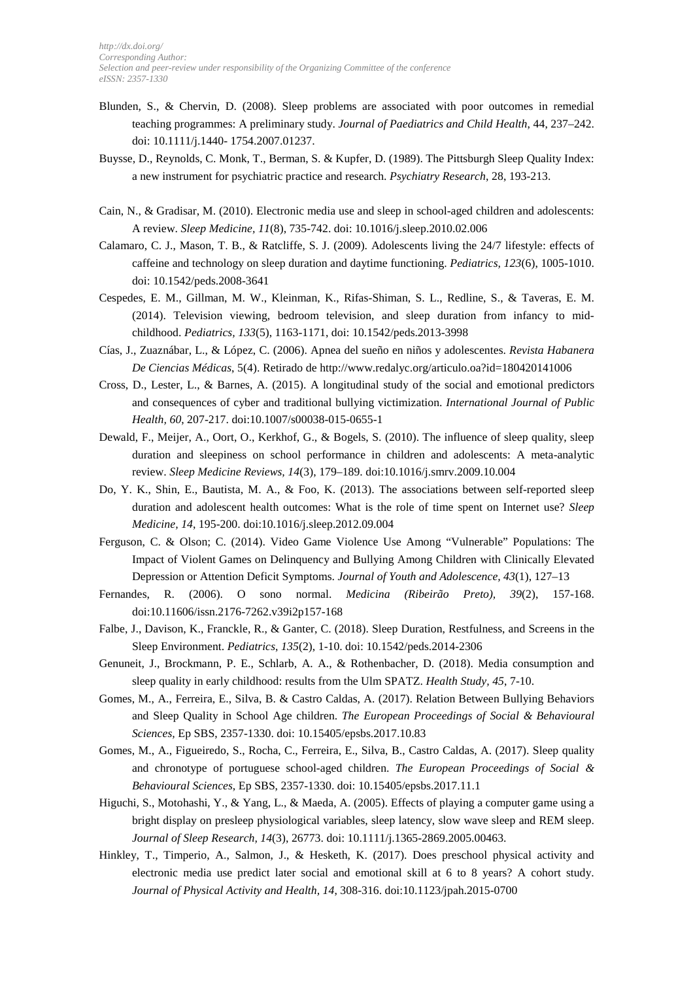- Blunden, S., & Chervin, D. (2008). Sleep problems are associated with poor outcomes in remedial teaching programmes: A preliminary study. *Journal of Paediatrics and Child Health*, 44, 237–242. doi: 10.1111/j.1440- 1754.2007.01237.
- Buysse, D., Reynolds, C. Monk, T., Berman, S. & Kupfer, D. (1989). The Pittsburgh Sleep Quality Index: a new instrument for psychiatric practice and research. *Psychiatry Research*, 28, 193-213.
- Cain, N., & Gradisar, M. (2010). Electronic media use and sleep in school-aged children and adolescents: A review. *Sleep Medicine, 11*(8), 735-742. doi: 10.1016/j.sleep.2010.02.006
- Calamaro, C. J., Mason, T. B., & Ratcliffe, S. J. (2009). Adolescents living the 24/7 lifestyle: effects of caffeine and technology on sleep duration and daytime functioning. *Pediatrics, 123*(6), 1005-1010. doi: 10.1542/peds.2008-3641
- Cespedes, E. M., Gillman, M. W., Kleinman, K., Rifas-Shiman, S. L., Redline, S., & Taveras, E. M. (2014). Television viewing, bedroom television, and sleep duration from infancy to midchildhood. *Pediatrics, 133*(5), 1163-1171, doi: 10.1542/peds.2013-3998
- Cías, J., Zuaznábar, L., & López, C. (2006). Apnea del sueño en niños y adolescentes. *Revista Habanera De Ciencias Médicas*, 5(4). Retirado de http://www.redalyc.org/articulo.oa?id=180420141006
- Cross, D., Lester, L., & Barnes, A. (2015). A longitudinal study of the social and emotional predictors and consequences of cyber and traditional bullying victimization. *International Journal of Public Health, 60*, 207-217. doi:10.1007/s00038-015-0655-1
- Dewald, F., Meijer, A., Oort, O., Kerkhof, G., & Bogels, S. (2010). The influence of sleep quality, sleep duration and sleepiness on school performance in children and adolescents: A meta-analytic review. *Sleep Medicine Reviews, 14*(3), 179–189. doi:10.1016/j.smrv.2009.10.004
- Do, Y. K., Shin, E., Bautista, M. A., & Foo, K. (2013). The associations between self-reported sleep duration and adolescent health outcomes: What is the role of time spent on Internet use? *Sleep Medicine, 14*, 195-200. doi:10.1016/j.sleep.2012.09.004
- Ferguson, C. & Olson; C. (2014). Video Game Violence Use Among "Vulnerable" Populations: The Impact of Violent Games on Delinquency and Bullying Among Children with Clinically Elevated Depression or Attention Deficit Symptoms. *Journal of Youth and Adolescence, 43*(1), 127–13
- Fernandes, R. (2006). O sono normal. *Medicina (Ribeirão Preto), 39*(2), 157-168. doi:10.11606/issn.2176-7262.v39i2p157-168
- Falbe, J., Davison, K., Franckle, R., & Ganter, C. (2018). Sleep Duration, Restfulness, and Screens in the Sleep Environment. *Pediatrics*, *135*(2), 1-10. doi: 10.1542/peds.2014-2306
- Genuneit, J., Brockmann, P. E., Schlarb, A. A., & Rothenbacher, D. (2018). Media consumption and sleep quality in early childhood: results from the Ulm SPATZ. *Health Study, 45*, 7-10.
- Gomes, M., A., Ferreira, E., Silva, B. & Castro Caldas, A. (2017). Relation Between Bullying Behaviors and Sleep Quality in School Age children. *The European Proceedings of Social & Behavioural Sciences,* Ep SBS, 2357-1330. doi: 10.15405/epsbs.2017.10.83
- Gomes, M., A., Figueiredo, S., Rocha, C., Ferreira, E., Silva, B., Castro Caldas, A. (2017). Sleep quality and chronotype of portuguese school-aged children. *The European Proceedings of Social & Behavioural Sciences*, Ep SBS, 2357-1330. doi: 10.15405/epsbs.2017.11.1
- Higuchi, S., Motohashi, Y., & Yang, L., & Maeda, A. (2005). Effects of playing a computer game using a bright display on presleep physiological variables, sleep latency, slow wave sleep and REM sleep. *Journal of Sleep Research, 14*(3), 26773. doi: 10.1111/j.1365-2869.2005.00463.
- Hinkley, T., Timperio, A., Salmon, J., & Hesketh, K. (2017). Does preschool physical activity and electronic media use predict later social and emotional skill at 6 to 8 years? A cohort study. *Journal of Physical Activity and Health, 14*, 308-316. doi:10.1123/jpah.2015-0700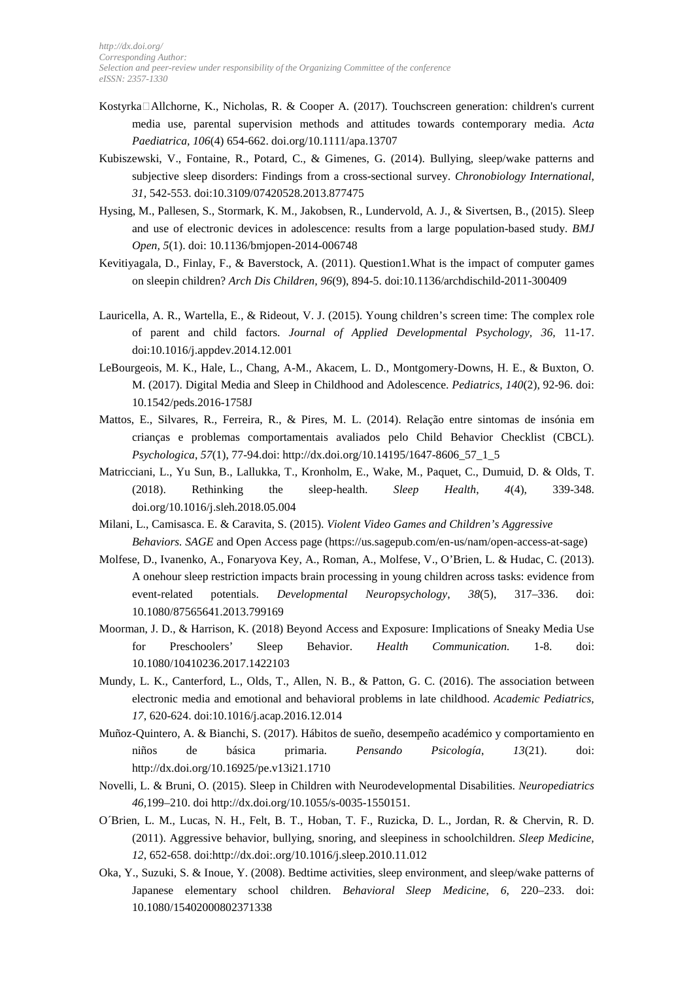- Kostyrka $\Box$ Allchorne, K., Nicholas, R. & Cooper A. (2017). Touchscreen generation: children's current media use, parental supervision methods and attitudes towards contemporary media. *Acta Paediatrica, 106*(4) 654-662. doi.org/10.1111/apa.13707
- Kubiszewski, V., Fontaine, R., Potard, C., & Gimenes, G. (2014). Bullying, sleep/wake patterns and subjective sleep disorders: Findings from a cross-sectional survey. *Chronobiology International*, *31,* 542-553. doi:10.3109/07420528.2013.877475
- Hysing, M., Pallesen, S., Stormark, K. M., Jakobsen, R., Lundervold, A. J., & Sivertsen, B., (2015). Sleep and use of electronic devices in adolescence: results from a large population-based study. *BMJ Open, 5*(1). doi: 10.1136/bmjopen-2014-006748
- Kevitiyagala, D., Finlay, F., & Baverstock, A. (2011). Question1.What is the impact of computer games on sleepin children? *Arch Dis Children, 96*(9), 894-5. doi:10.1136/archdischild-2011-300409
- Lauricella, A. R., Wartella, E., & Rideout, V. J. (2015). Young children's screen time: The complex role of parent and child factors. *Journal of Applied Developmental Psychology, 36,* 11-17. doi:10.1016/j.appdev.2014.12.001
- LeBourgeois, M. K., Hale, L., Chang, A-M., Akacem, L. D., Montgomery-Downs, H. E., & Buxton, O. M. (2017). Digital Media and Sleep in Childhood and Adolescence. *Pediatrics, 140*(2), 92-96. doi: 10.1542/peds.2016-1758J
- Mattos, E., Silvares, R., Ferreira, R., & Pires, M. L. (2014). Relação entre sintomas de insónia em crianças e problemas comportamentais avaliados pelo Child Behavior Checklist (CBCL). *Psychologica*, *57*(1), 77-94.doi: http://dx.doi.org/10.14195/1647-8606\_57\_1\_5
- Matricciani, L., Yu Sun, B., Lallukka, T., Kronholm, E., Wake, M., Paquet, C., Dumuid, D. & Olds, T. (2018). Rethinking the sleep-health. *Sleep Health*, *4*(4), 339-348. doi.org/10.1016/j.sleh.2018.05.004
- Milani, L., Camisasca. E. & Caravita, S. (2015). *Violent Video Games and Children's Aggressive Behaviors. SAGE* and Open Access page (https://us.sagepub.com/en-us/nam/open-access-at-sage)
- Molfese, D., Ivanenko, A., Fonaryova Key, A., Roman, A., Molfese, V., O'Brien, L. & Hudac, C. (2013). A onehour sleep restriction impacts brain processing in young children across tasks: evidence from event-related potentials. *Developmental Neuropsychology*, *38*(5), 317–336. doi: 10.1080/87565641.2013.799169
- Moorman, J. D., & Harrison, K. (2018) Beyond Access and Exposure: Implications of Sneaky Media Use for Preschoolers' Sleep Behavior. *Health Communication.* 1-8. doi: 10.1080/10410236.2017.1422103
- Mundy, L. K., Canterford, L., Olds, T., Allen, N. B., & Patton, G. C. (2016). The association between electronic media and emotional and behavioral problems in late childhood. *Academic Pediatrics, 17*, 620-624. doi:10.1016/j.acap.2016.12.014
- Muñoz-Quintero, A. & Bianchi, S. (2017). Hábitos de sueño, desempeño académico y comportamiento en niños de básica primaria. *Pensando Psicología*, *13*(21). doi: http://dx.doi.org/10.16925/pe.v13i21.1710
- Novelli, L. & Bruni, O. (2015). Sleep in Children with Neurodevelopmental Disabilities. *Neuropediatrics 46,*199–210. doi http://dx.doi.org/10.1055/s-0035-1550151.
- O´Brien, L. M., Lucas, N. H., Felt, B. T., Hoban, T. F., Ruzicka, D. L., Jordan, R. & Chervin, R. D. (2011). Aggressive behavior, bullying, snoring, and sleepiness in schoolchildren. *Sleep Medicine, 12*, 652-658. doi:http://dx.doi:.org/10.1016/j.sleep.2010.11.012
- Oka, Y., Suzuki, S. & Inoue, Y. (2008). Bedtime activities, sleep environment, and sleep/wake patterns of Japanese elementary school children. *Behavioral Sleep Medicine*, *6*, 220–233. doi: 10.1080/15402000802371338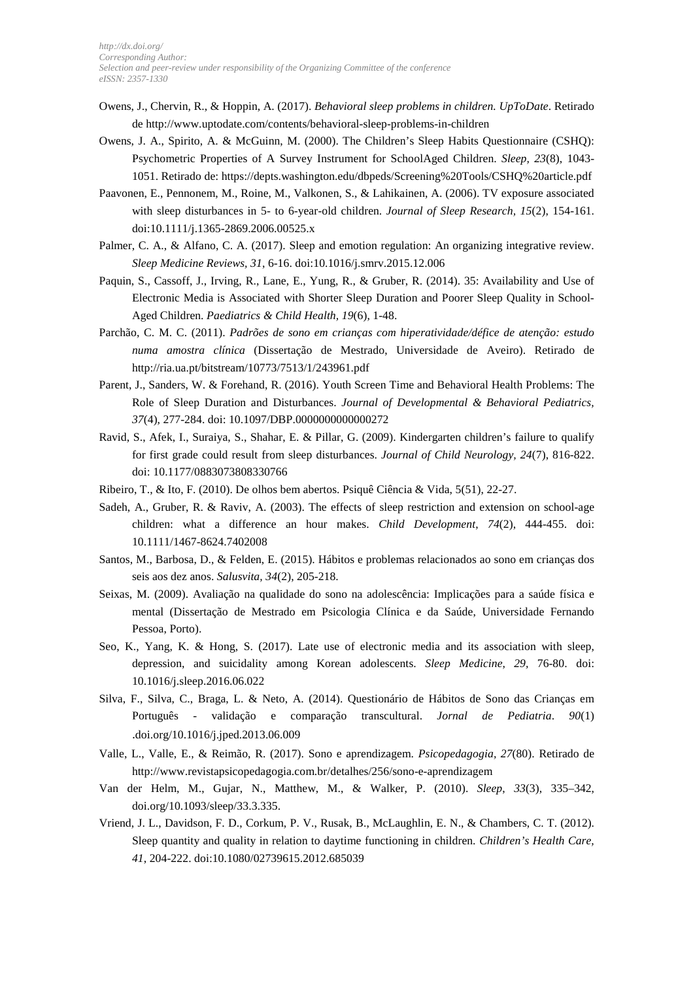- Owens, J., Chervin, R., & Hoppin, A. (2017). *Behavioral sleep problems in children. UpToDate*. Retirado de http://www.uptodate.com/contents/behavioral-sleep-problems-in-children
- Owens, J. A., Spirito, A. & McGuinn, M. (2000). The Children's Sleep Habits Questionnaire (CSHQ): Psychometric Properties of A Survey Instrument for SchoolAged Children. *Sleep, 23*(8), 1043- 1051. Retirado de: https://depts.washington.edu/dbpeds/Screening%20Tools/CSHQ%20article.pdf
- Paavonen, E., Pennonem, M., Roine, M., Valkonen, S., & Lahikainen, A. (2006). TV exposure associated with sleep disturbances in 5- to 6-year-old children. *Journal of Sleep Research, 15*(2), 154-161. doi:10.1111/j.1365-2869.2006.00525.x
- Palmer, C. A., & Alfano, C. A. (2017). Sleep and emotion regulation: An organizing integrative review. *Sleep Medicine Reviews, 31*, 6-16. doi:10.1016/j.smrv.2015.12.006
- Paquin, S., Cassoff, J., Irving, R., Lane, E., Yung, R., & Gruber, R. (2014). 35: Availability and Use of Electronic Media is Associated with Shorter Sleep Duration and Poorer Sleep Quality in School-Aged Children. *Paediatrics & Child Health, 19*(6), 1-48.
- Parchão, C. M. C. (2011). *Padrões de sono em crianças com hiperatividade/défice de atenção: estudo numa amostra clínica* (Dissertação de Mestrado, Universidade de Aveiro). Retirado de http://ria.ua.pt/bitstream/10773/7513/1/243961.pdf
- Parent, J., Sanders, W. & Forehand, R. (2016). Youth Screen Time and Behavioral Health Problems: The Role of Sleep Duration and Disturbances. *Journal of Developmental & Behavioral Pediatrics, 37*(4), 277-284. doi: 10.1097/DBP.0000000000000272
- Ravid, S., Afek, I., Suraiya, S., Shahar, E. & Pillar, G. (2009). Kindergarten children's failure to qualify for first grade could result from sleep disturbances. *Journal of Child Neurology, 24*(7), 816-822. doi: 10.1177/0883073808330766
- Ribeiro, T., & Ito, F. (2010). De olhos bem abertos. Psiquê Ciência & Vida, 5(51), 22-27.
- Sadeh, A., Gruber, R. & Raviv, A. (2003). The effects of sleep restriction and extension on school-age children: what a difference an hour makes. *Child Development*, *74*(2), 444-455. doi: 10.1111/1467-8624.7402008
- Santos, M., Barbosa, D., & Felden, E. (2015). Hábitos e problemas relacionados ao sono em crianças dos seis aos dez anos. *Salusvita, 34*(2), 205-218.
- Seixas, M. (2009). Avaliação na qualidade do sono na adolescência: Implicações para a saúde física e mental (Dissertação de Mestrado em Psicologia Clínica e da Saúde, Universidade Fernando Pessoa, Porto).
- Seo, K., Yang, K. & Hong, S. (2017). Late use of electronic media and its association with sleep, depression, and suicidality among Korean adolescents. *Sleep Medicine*, *29,* 76-80. doi: 10.1016/j.sleep.2016.06.022
- Silva, F., Silva, C., Braga, L. & Neto, A. (2014). Questionário de Hábitos de Sono das Crianças em Português - validação e comparação transcultural. *Jornal de Pediatria*. *90*(1) .doi.org/10.1016/j.jped.2013.06.009
- Valle, L., Valle, E., & Reimão, R. (2017). Sono e aprendizagem. *Psicopedagogia, 27*(80). Retirado de http://www.revistapsicopedagogia.com.br/detalhes/256/sono-e-aprendizagem
- Van der Helm, M., Gujar, N., Matthew, M., & Walker, P. (2010). *Sleep*, *33*(3), 335–342, doi.org/10.1093/sleep/33.3.335.
- Vriend, J. L., Davidson, F. D., Corkum, P. V., Rusak, B., McLaughlin, E. N., & Chambers, C. T. (2012). Sleep quantity and quality in relation to daytime functioning in children. *Children's Health Care, 41*, 204-222. doi:10.1080/02739615.2012.685039